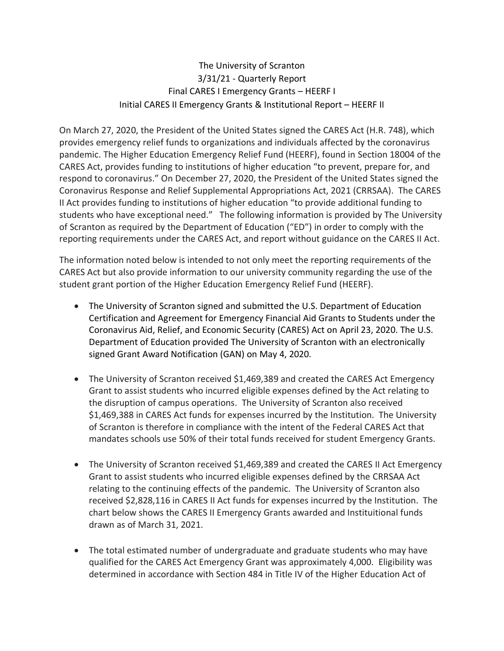## The University of Scranton 3/31/21 - Quarterly Report Final CARES I Emergency Grants – HEERF I Initial CARES II Emergency Grants & Institutional Report – HEERF II

On March 27, 2020, the President of the United States signed the CARES Act (H.R. 748), which provides emergency relief funds to organizations and individuals affected by the coronavirus pandemic. The Higher Education Emergency Relief Fund (HEERF), found in Section 18004 of the CARES Act, provides funding to institutions of higher education "to prevent, prepare for, and respond to coronavirus." On December 27, 2020, the President of the United States signed the Coronavirus Response and Relief Supplemental Appropriations Act, 2021 (CRRSAA). The CARES II Act provides funding to institutions of higher education "to provide additional funding to students who have exceptional need." The following information is provided by The University of Scranton as required by the Department of Education ("ED") in order to comply with the reporting requirements under the CARES Act, and report without guidance on the CARES II Act.

The information noted below is intended to not only meet the reporting requirements of the CARES Act but also provide information to our university community regarding the use of the student grant portion of the Higher Education Emergency Relief Fund (HEERF).

- The University of Scranton signed and submitted the U.S. Department of Education Certification and Agreement for Emergency Financial Aid Grants to Students under the Coronavirus Aid, Relief, and Economic Security (CARES) Act on April 23, 2020. The U.S. Department of Education provided The University of Scranton with an electronically signed Grant Award Notification (GAN) on May 4, 2020.
- The University of Scranton received \$1,469,389 and created the CARES Act Emergency Grant to assist students who incurred eligible expenses defined by the Act relating to the disruption of campus operations. The University of Scranton also received \$1,469,388 in CARES Act funds for expenses incurred by the Institution. The University of Scranton is therefore in compliance with the intent of the Federal CARES Act that mandates schools use 50% of their total funds received for student Emergency Grants.
- The University of Scranton received \$1,469,389 and created the CARES II Act Emergency Grant to assist students who incurred eligible expenses defined by the CRRSAA Act relating to the continuing effects of the pandemic. The University of Scranton also received \$2,828,116 in CARES II Act funds for expenses incurred by the Institution. The chart below shows the CARES II Emergency Grants awarded and Instituitional funds drawn as of March 31, 2021.
- The total estimated number of undergraduate and graduate students who may have qualified for the CARES Act Emergency Grant was approximately 4,000. Eligibility was determined in accordance with Section 484 in Title IV of the Higher Education Act of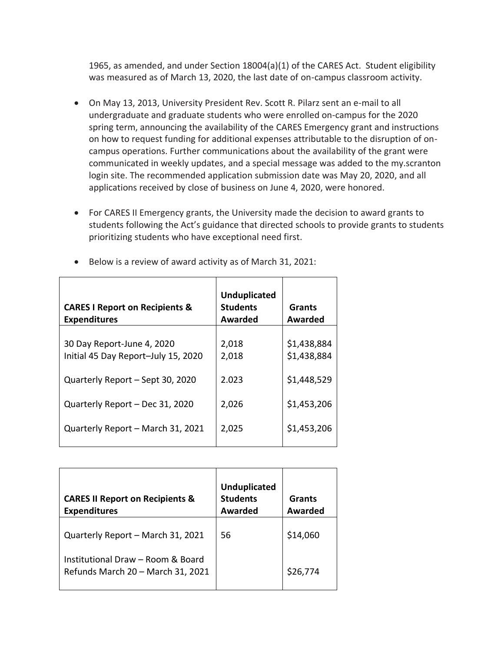1965, as amended, and under Section 18004(a)(1) of the CARES Act. Student eligibility was measured as of March 13, 2020, the last date of on-campus classroom activity.

- On May 13, 2013, University President Rev. Scott R. Pilarz sent an e-mail to all undergraduate and graduate students who were enrolled on-campus for the 2020 spring term, announcing the availability of the CARES Emergency grant and instructions on how to request funding for additional expenses attributable to the disruption of oncampus operations. Further communications about the availability of the grant were communicated in weekly updates, and a special message was added to the my.scranton login site. The recommended application submission date was May 20, 2020, and all applications received by close of business on June 4, 2020, were honored.
- For CARES II Emergency grants, the University made the decision to award grants to students following the Act's guidance that directed schools to provide grants to students prioritizing students who have exceptional need first.

| <b>CARES I Report on Recipients &amp;</b><br><b>Expenditures</b>  | <b>Unduplicated</b><br><b>Students</b><br>Awarded | Grants<br>Awarded          |
|-------------------------------------------------------------------|---------------------------------------------------|----------------------------|
| 30 Day Report-June 4, 2020<br>Initial 45 Day Report-July 15, 2020 | 2,018<br>2,018                                    | \$1,438,884<br>\$1,438,884 |
| Quarterly Report - Sept 30, 2020                                  | 2.023                                             | \$1,448,529                |
| Quarterly Report - Dec 31, 2020                                   | 2,026                                             | \$1,453,206                |
| Quarterly Report - March 31, 2021                                 | 2,025                                             | \$1,453,206                |

• Below is a review of award activity as of March 31, 2021:

| <b>CARES II Report on Recipients &amp;</b><br><b>Expenditures</b>      | <b>Unduplicated</b><br><b>Students</b><br>Awarded | Grants<br><b>Awarded</b> |
|------------------------------------------------------------------------|---------------------------------------------------|--------------------------|
| Quarterly Report - March 31, 2021                                      | 56                                                | \$14,060                 |
| Institutional Draw – Room & Board<br>Refunds March 20 - March 31, 2021 |                                                   | \$26,774                 |